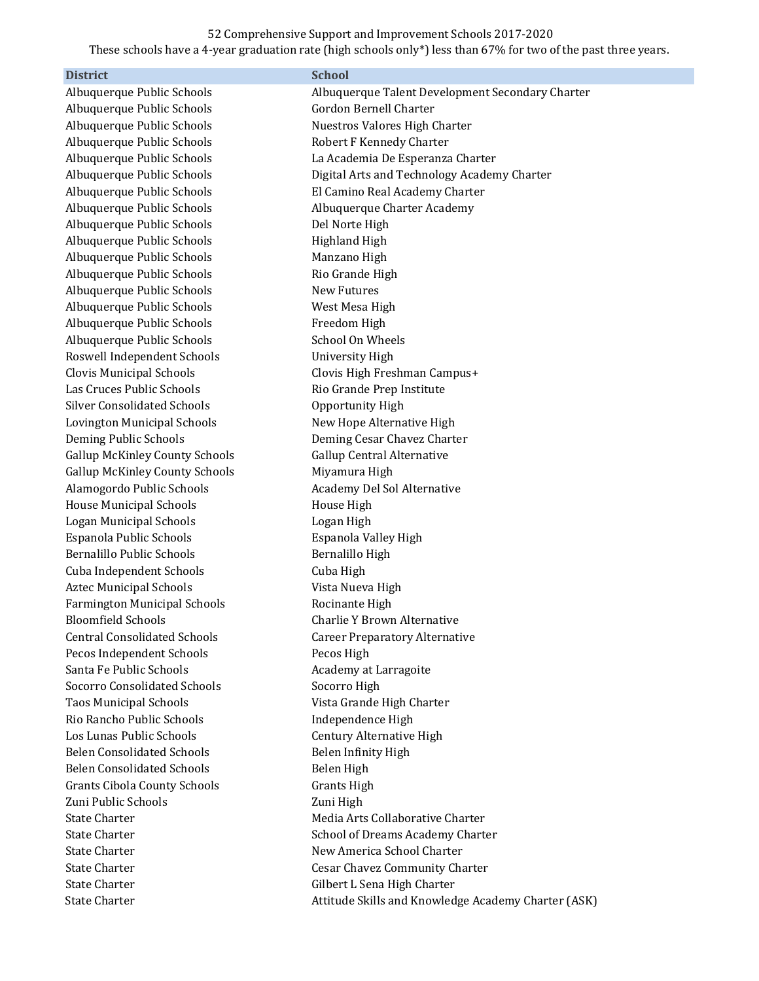## 52 Comprehensive Support and Improvement Schools 2017-2020

These schools have a 4-year graduation rate (high schools only\*) less than 67% for two of the past three years.

| <b>District</b>                       | <b>School</b>                                       |
|---------------------------------------|-----------------------------------------------------|
| Albuquerque Public Schools            | Albuquerque Talent Development Secondary Charter    |
| Albuquerque Public Schools            | Gordon Bernell Charter                              |
| Albuquerque Public Schools            | Nuestros Valores High Charter                       |
| Albuquerque Public Schools            | Robert F Kennedy Charter                            |
| Albuquerque Public Schools            | La Academia De Esperanza Charter                    |
| Albuquerque Public Schools            | Digital Arts and Technology Academy Charter         |
| Albuquerque Public Schools            | El Camino Real Academy Charter                      |
| Albuquerque Public Schools            | Albuquerque Charter Academy                         |
| Albuquerque Public Schools            | Del Norte High                                      |
| Albuquerque Public Schools            | <b>Highland High</b>                                |
| Albuquerque Public Schools            | Manzano High                                        |
| Albuquerque Public Schools            | Rio Grande High                                     |
| Albuquerque Public Schools            | <b>New Futures</b>                                  |
| Albuquerque Public Schools            | West Mesa High                                      |
| Albuquerque Public Schools            | Freedom High                                        |
| Albuquerque Public Schools            | School On Wheels                                    |
| Roswell Independent Schools           | <b>University High</b>                              |
| <b>Clovis Municipal Schools</b>       | Clovis High Freshman Campus+                        |
| Las Cruces Public Schools             | Rio Grande Prep Institute                           |
| <b>Silver Consolidated Schools</b>    | Opportunity High                                    |
| Lovington Municipal Schools           | New Hope Alternative High                           |
| Deming Public Schools                 | Deming Cesar Chavez Charter                         |
| <b>Gallup McKinley County Schools</b> | Gallup Central Alternative                          |
| <b>Gallup McKinley County Schools</b> | Miyamura High                                       |
| Alamogordo Public Schools             | Academy Del Sol Alternative                         |
| <b>House Municipal Schools</b>        | House High                                          |
| <b>Logan Municipal Schools</b>        | Logan High                                          |
| Espanola Public Schools               | Espanola Valley High                                |
| <b>Bernalillo Public Schools</b>      | Bernalillo High                                     |
| Cuba Independent Schools              | Cuba High                                           |
| <b>Aztec Municipal Schools</b>        | Vista Nueva High                                    |
| <b>Farmington Municipal Schools</b>   | Rocinante High                                      |
| <b>Bloomfield Schools</b>             | Charlie Y Brown Alternative                         |
| <b>Central Consolidated Schools</b>   | <b>Career Preparatory Alternative</b>               |
| Pecos Independent Schools             | Pecos High                                          |
| Santa Fe Public Schools               | Academy at Larragoite                               |
| <b>Socorro Consolidated Schools</b>   | Socorro High                                        |
| <b>Taos Municipal Schools</b>         | Vista Grande High Charter                           |
| Rio Rancho Public Schools             | Independence High                                   |
| Los Lunas Public Schools              | Century Alternative High                            |
| <b>Belen Consolidated Schools</b>     | Belen Infinity High                                 |
| <b>Belen Consolidated Schools</b>     | Belen High                                          |
| Grants Cibola County Schools          | <b>Grants High</b>                                  |
| Zuni Public Schools                   | Zuni High                                           |
| <b>State Charter</b>                  | Media Arts Collaborative Charter                    |
| <b>State Charter</b>                  | School of Dreams Academy Charter                    |
| <b>State Charter</b>                  | New America School Charter                          |
| <b>State Charter</b>                  | Cesar Chavez Community Charter                      |
| <b>State Charter</b>                  | Gilbert L Sena High Charter                         |
| <b>State Charter</b>                  | Attitude Skills and Knowledge Academy Charter (ASK) |
|                                       |                                                     |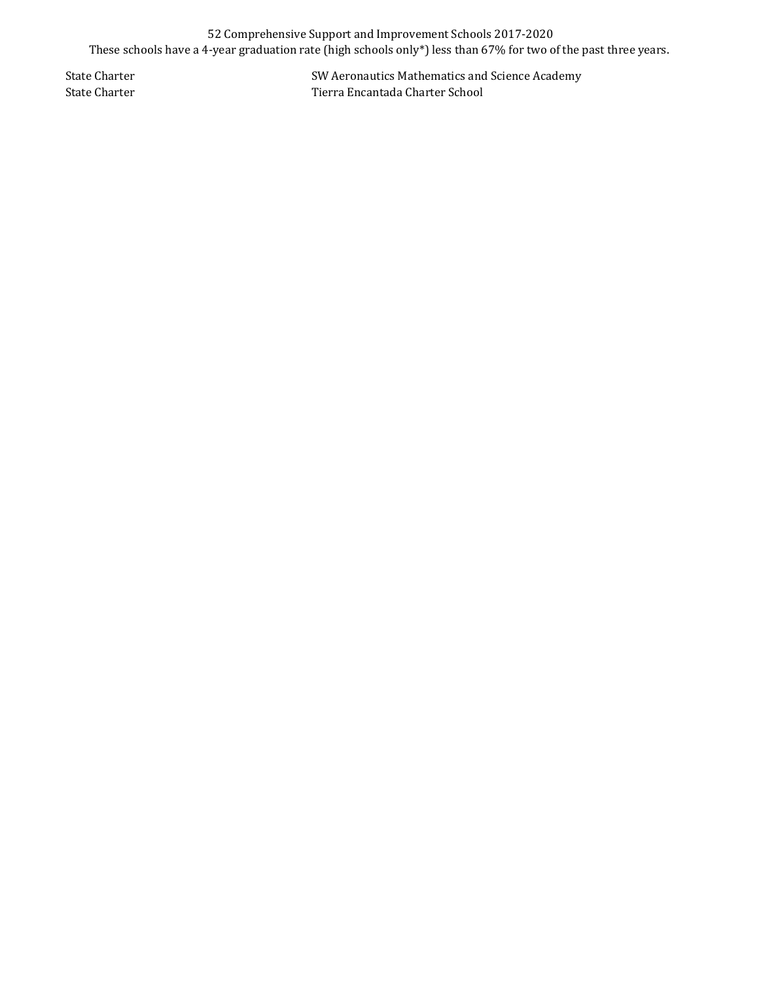## 52 Comprehensive Support and Improvement Schools 2017-2020 These schools have a 4-year graduation rate (high schools only\*) less than 67% for two of the past three years.

State Charter State Charter State Charter State Charter School State Charter School State Charter School State Charter School State Charter School State Charter School State Charter School State Charter School State Charte Tierra Encantada Charter School